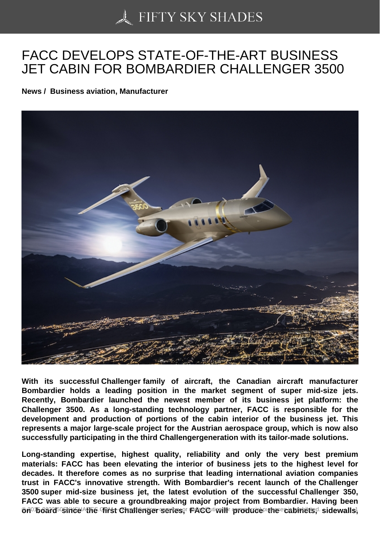## [FACC DEVELOPS STA](https://50skyshades.com)TE-OF-THE-ART BUSINESS JET CABIN FOR BOMBARDIER CHALLENGER 3500

News / Business aviation, Manufacturer

With its successful Challenger family of aircraft, the Canadian aircraft manufacturer Bombardier holds a leading position in the market segment of super mid-size jets. Recently, Bombardier launched the newest member of its business jet platform: the Challenger 3500. As a long-standing technology partner, FACC is responsible for the development and production of portions of the cabin interior of the business jet. This represents a major large-scale project for the Austrian aerospace group, which is now also successfully participating in the third Challengergeneration with its tailor-made solutions.

Long-standing expertise, highest quality, reliability and only the very best premium materials: FACC has been elevating the interior of business jets to the highest level for decades. It therefore comes as no surprise that leading international aviation companies trust in FACC's innovative strength. With Bombardier's recent launch of the Challenger 3500 super mid-size business jet, the latest evolution of the successful Challenger 350, FACC was able to secure a groundbreaking major project from Bombardier. Having been on board ssince the strist Challenger series, FACC still produce the reasinets, sidewalls, and reproduction for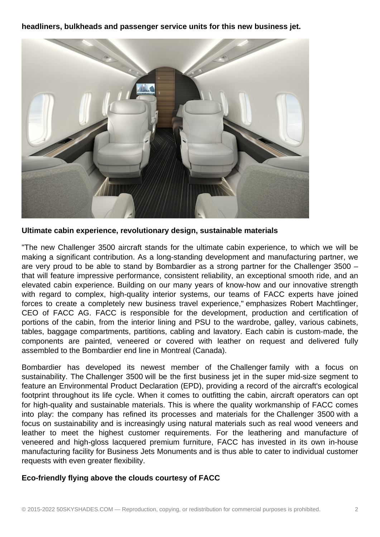**headliners, bulkheads and passenger service units for this new business jet.**



**Ultimate cabin experience, revolutionary design, sustainable materials**

"The new Challenger 3500 aircraft stands for the ultimate cabin experience, to which we will be making a significant contribution. As a long-standing development and manufacturing partner, we are very proud to be able to stand by Bombardier as a strong partner for the Challenger 3500 – that will feature impressive performance, consistent reliability, an exceptional smooth ride, and an elevated cabin experience. Building on our many years of know-how and our innovative strength with regard to complex, high-quality interior systems, our teams of FACC experts have joined forces to create a completely new business travel experience," emphasizes Robert Machtlinger, CEO of FACC AG. FACC is responsible for the development, production and certification of portions of the cabin, from the interior lining and PSU to the wardrobe, galley, various cabinets, tables, baggage compartments, partitions, cabling and lavatory. Each cabin is custom-made, the components are painted, veneered or covered with leather on request and delivered fully assembled to the Bombardier end line in Montreal (Canada).

Bombardier has developed its newest member of the Challenger family with a focus on sustainability. The Challenger 3500 will be the first business jet in the super mid-size segment to feature an Environmental Product Declaration (EPD), providing a record of the aircraft's ecological footprint throughout its life cycle. When it comes to outfitting the cabin, aircraft operators can opt for high-quality and sustainable materials. This is where the quality workmanship of FACC comes into play: the company has refined its processes and materials for the Challenger 3500 with a focus on sustainability and is increasingly using natural materials such as real wood veneers and leather to meet the highest customer requirements. For the leathering and manufacture of veneered and high-gloss lacquered premium furniture, FACC has invested in its own in-house manufacturing facility for Business Jets Monuments and is thus able to cater to individual customer requests with even greater flexibility.

## **Eco-friendly flying above the clouds courtesy of FACC**